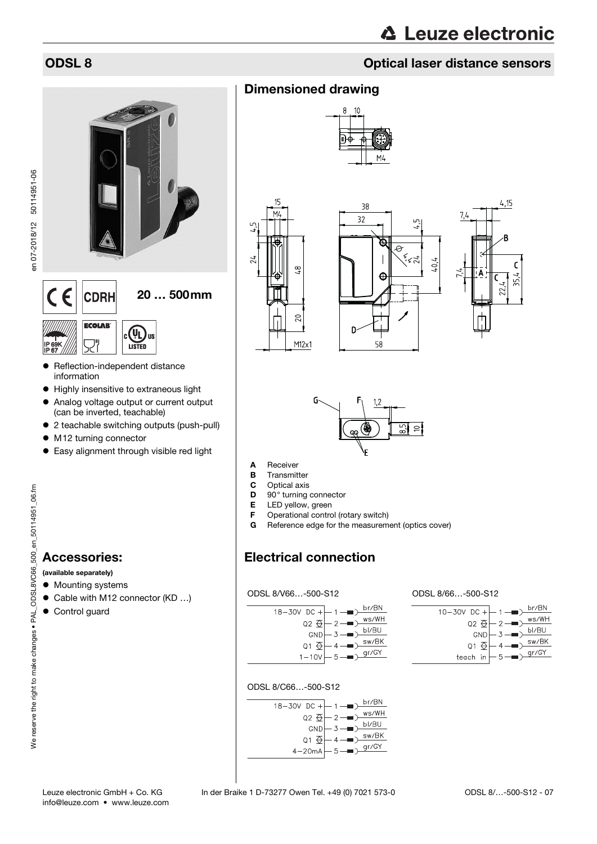en 07-2018/12 50114951-06

en 07-2018/12 50114951-06

# **△ Leuze electronic**

# ODSL 8 Optical laser distance sensors

# $\epsilon$ 20 … 500mm **CDRH**

**ECOLAB** OC. צוו **LISTED** IP 69K IP 67

- Reflection-independent distance information
- $\bullet$  Highly insensitive to extraneous light
- Analog voltage output or current output (can be inverted, teachable)
- 2 teachable switching outputs (push-pull)
- M12 turning connector
- Easy alignment through visible red light

# We reserve the right to make changes . PAL\_ODSL8VC66\_500\_en\_50114951\_06.fm We reserve the right to make changes • PAL\_ODSL8VC66\_500\_en\_50114951\_06.fm

# Accessories:

(available separately)

- Mounting systems
- Cable with M12 connector (KD ...)
- **•** Control guard

# Dimensioned drawing











- A Receiver
- **B** Transmitter
- C Optical axis
- **D** 90° turning connector
- 
- **E** LED yellow, green<br>**F** Operational contro Operational control (rotary switch)
- G Reference edge for the measurement (optics cover)

# Electrical connection

ODSL 8/V66…-500-S12



ODSL 8/66…-500-S12

| $10-30V$ DC + $-1$ -                   |          | br/BN |
|----------------------------------------|----------|-------|
| $Q2 \n\bigoplus$                       | $-2$ –   | ws/WH |
| GND                                    | $-3$ $-$ | bl/BU |
|                                        |          | sw/BK |
| $\circ$ 3 $\overline{\leftrightarrow}$ |          | gr/GY |
| teach in                               | $-5$ $-$ |       |

## ODSL 8/C66…-500-S12

| $18 - 30V$ DC $+(-1 - 1)$ |                                                            | br/BN |
|---------------------------|------------------------------------------------------------|-------|
| $Q2 \n\oplus$             | $-2$ $-$                                                   | ws/WH |
| GND                       | $\perp$ 3 $\rightarrow$                                    | bl/BU |
|                           | $Q1 \bigoplus -4 \longrightarrow \underline{\text{sw/BK}}$ |       |
|                           | $-5 - i2 \overline{gr/GY}$                                 |       |
| $4-20mA$                  |                                                            |       |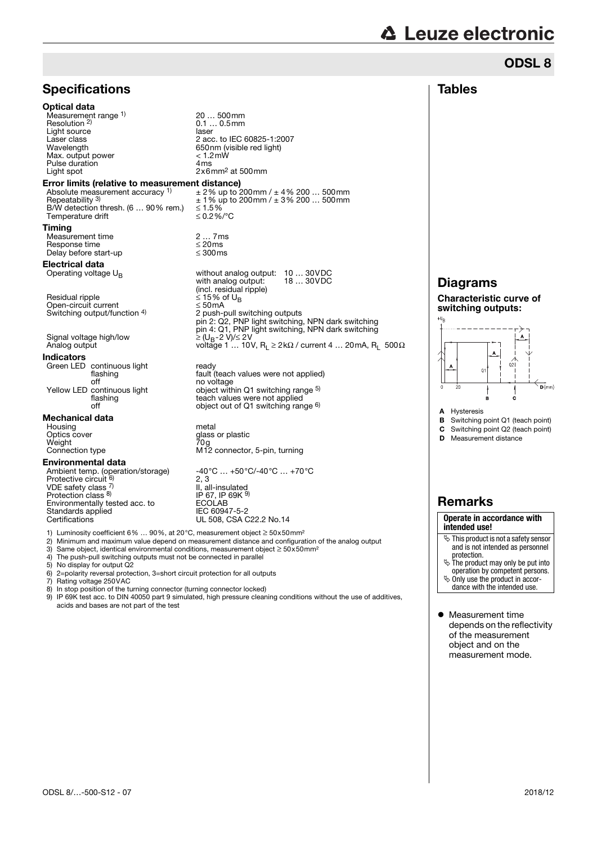# **△ Leuze electronic**

# **Tables** ODSL 8

| <b>Specifications</b>                                                                                                                                                                         |                                                                                                                                                                                                                 |
|-----------------------------------------------------------------------------------------------------------------------------------------------------------------------------------------------|-----------------------------------------------------------------------------------------------------------------------------------------------------------------------------------------------------------------|
| Optical data<br>Measurement range 1)<br>Resolution <sup>2)</sup><br>Light source<br>Laser class<br>Wavelength<br>Max. output power<br>Pulse duration<br>Light spot                            | 20  500mm<br>$0.10.5$ mm<br>laser<br>2 acc. to IEC 60825-1:2007<br>650nm (visible red light)<br>< 1.2mW<br>4 <sub>ms</sub><br>$2x6$ mm <sup>2</sup> at 500mm                                                    |
| Error limits (relative to measurement distance)<br>Absolute measurement accuracy 1)<br>Repeatability 3)<br>B/W detection thresh. (6  90% rem.)<br>Temperature drift                           | $\pm$ 2% up to 200mm / $\pm$ 4% 200  500mm<br>$\pm$ 1 % up to 200mm / $\pm$ 3 % 200  500mm<br>≤ 1.5%<br>≤0.2%/°C                                                                                                |
| Timing<br>Measurement time<br>Response time<br>Delay before start-up                                                                                                                          | 27ms<br>$\leq$ 20ms<br>$\leq 300$ ms                                                                                                                                                                            |
| Electrical data<br>Operating voltage $U_{\rm B}$                                                                                                                                              | without analog output:<br>1030VDC<br>18  30VDC<br>with analog output:                                                                                                                                           |
| Residual ripple<br>Open-circuit current<br>Switching output/function 4)                                                                                                                       | (incl. residual ripple)<br>≤ 15% of U <sub>R</sub><br>$\leq 50$ mA<br>2 push-pull switching outputs<br>pin 2: Q2, PNP light switching, NPN dark switching<br>pin 4: Q1, PNP light switching, NPN dark switching |
| Signal voltage high/low<br>Analog output                                                                                                                                                      | ≥ (U <sub>B</sub> -2 V)/≤ 2V<br>voltage 1  10V, R <sub>1</sub> $\geq$ 2k $\Omega$ / current 4  20mA, R <sub>1</sub> 500 $\Omega$                                                                                |
| <b>Indicators</b>                                                                                                                                                                             |                                                                                                                                                                                                                 |
| Green LED continuous light<br>flashing<br>off                                                                                                                                                 | ready<br>fault (teach values were not applied)<br>no voltage                                                                                                                                                    |
| Yellow LED continuous light<br>flashing<br>off                                                                                                                                                | object within Q1 switching range 5)<br>teach values were not applied<br>object out of Q1 switching range <sup>6)</sup>                                                                                          |
| Mechanical data                                                                                                                                                                               |                                                                                                                                                                                                                 |
| Housing<br>Optics cover<br>Weight<br>Connection type                                                                                                                                          | metal<br>glass or plastic<br>70g<br>M12 connector, 5-pin, turning                                                                                                                                               |
| Environmental data                                                                                                                                                                            |                                                                                                                                                                                                                 |
| Ambient temp. (operation/storage)<br>Protective circuit <sup>6)</sup><br>VDE safety class $7$<br>Protection class 8)<br>Environmentally tested acc. to<br>Standards applied<br>Certifications | -40°C  +50°C/-40°C  +70°C<br>2, 3<br>II, all-insulated<br>IP 67, IP 69K 9)<br><b>ECOLAB</b><br>IEC 60947-5-2<br>UL 508, CSA C22.2 No.14                                                                         |
| 1) Luminosity coefficient 6%  90%, at 20°C, measurement object $\geq$ 50x50mm <sup>2</sup>                                                                                                    | 2) Minimum and maximum value depend on measurement distance and configuration of the analog output                                                                                                              |

- 
- 3) Same object, identical environmental conditions, measurement object  $\geq 50 \times 50$  mm<sup>2</sup><br>4) The push-pull switching outputs must not be connected in parallel<br>5) No display for output Q2 4) The push-pull switching outputs must not be connected in parallel
- 5) No display for output Q2
- 
- 7) Rating voltage 250VAC
- 6) 2=polarity reversal protection, 3=short circuit protection for all outputs<br>
7) Rating voltage 250VAC<br>
8) In stop position of the turning connector (turning connector locked)
- 8) In stop position of the turning connector (turning connector locked) 9) IP 69K test acc. to DIN 40050 part 9 simulated, high pressure cleaning conditions without the use of additives, acids and bases are not part of the test

# Diagrams

**Characteristic curve of switching outputs:**



- A Hysteresis
- **B** Switching point Q1 (teach point)
- C Switching point Q2 (teach point)
- **D** Measurement distance

# Remarks

#### **Operate in accordance with intended use!**

- $\mathfrak{S}$  This product is not a safety sensor and is not intended as personnel
- protection. The product may only be put into

operation by competent persons. Only use the product in accor-

- dance with the intended use.
- 
- $\bullet$  Measurement time depends on the reflectivity of the measurement object and on the measurement mode.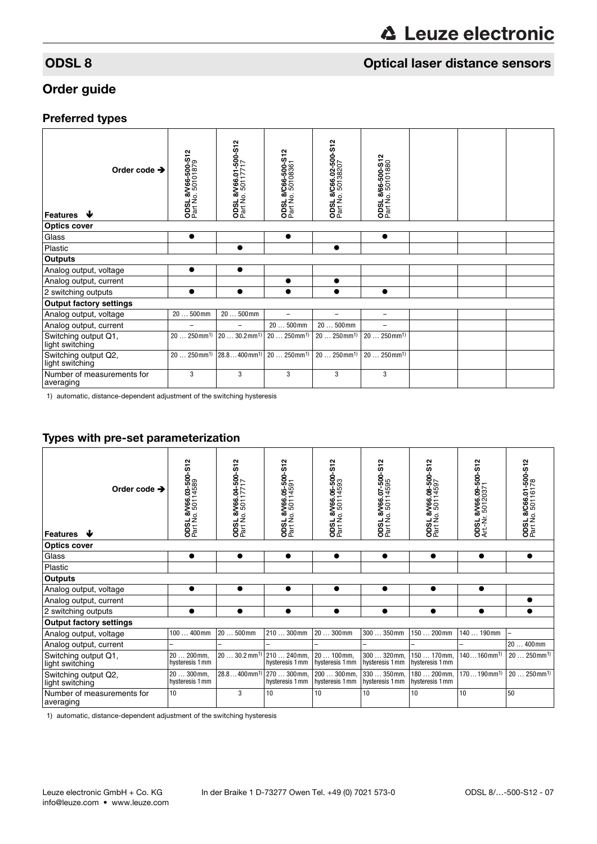# **ODSL 8** ODSL 8 Optical laser distance sensors

# Order guide

# Preferred types

| Order code $\rightarrow$<br>Features $\blacktriangleright$ | <b>ODSL 8/V66-500-S12</b><br>Part No. 50101879 | ODSL 8/V66.01-500-S12<br>Part No. 50117717 | ODSL 8/C66-500-S12<br>Part No. 50108361 | ODSL 8/C66.02-500-S12<br>Part No. 50138207 | <b>ODSL 8/66-500-S12</b><br>Part No. 50101880 |  |  |
|------------------------------------------------------------|------------------------------------------------|--------------------------------------------|-----------------------------------------|--------------------------------------------|-----------------------------------------------|--|--|
| <b>Optics cover</b>                                        |                                                |                                            |                                         |                                            |                                               |  |  |
| Glass                                                      | $\bullet$                                      |                                            | $\bullet$                               |                                            |                                               |  |  |
| Plastic                                                    |                                                |                                            |                                         |                                            |                                               |  |  |
| <b>Outputs</b>                                             |                                                |                                            |                                         |                                            |                                               |  |  |
| Analog output, voltage                                     | $\bullet$                                      | $\bullet$                                  |                                         |                                            |                                               |  |  |
| Analog output, current                                     |                                                |                                            |                                         | $\bullet$                                  |                                               |  |  |
| 2 switching outputs                                        | $\bullet$                                      |                                            |                                         |                                            | $\bullet$                                     |  |  |
| <b>Output factory settings</b>                             |                                                |                                            |                                         |                                            |                                               |  |  |
| Analog output, voltage                                     | $20500$ mm                                     | $20500$ mm                                 |                                         |                                            | -                                             |  |  |
| Analog output, current                                     |                                                |                                            | $20500$ mm                              | $20500$ mm                                 |                                               |  |  |
| Switching output Q1,<br>light switching                    | $20250$ mm <sup>1)</sup>                       | $2030.2$ mm <sup>1)</sup>                  | $20250$ mm <sup>1)</sup>                | $20250$ mm <sup>1)</sup>                   | $20250$ mm <sup>1)</sup>                      |  |  |
| Switching output Q2,<br>light switching                    | $.250$ mm <sup>1)</sup><br>20                  | $28.8400$ mm <sup>1)</sup>                 | $20250$ mm <sup>1)</sup>                | $20250$ mm <sup>1)</sup>                   | $20250$ mm <sup>1)</sup>                      |  |  |
| Number of measurements for<br>averaging                    | 3                                              | 3                                          | 3                                       | 3                                          | 3                                             |  |  |

1) automatic, distance-dependent adjustment of the switching hysteresis

# Types with pre-set parameterization

| Order code $\rightarrow$<br>₩<br><b>Features</b> | N<br>ξó<br>ODSL 8/V66.03-500<br>Part No. 50114589 | ODSL 8/V66.04-500-S12<br>Part No. 50117717 | ODSL 8/V66.05-500-S12<br>Part No. 50114591 | 8/V66.06-500-S12<br>0.50114593<br><b>ODSL 8'</b><br>Part No. ! | ODSL 8/V66.07-500-S12<br>Part No. 50114595 | ODSL 8/V66.08-500-S12<br>Part No. 50114597 | ODSL 8/V66.09-500-S12<br>Art.-Nr. 50120371 | ODSL 8/C66.01-500-S12<br>Part No. 50116178 |
|--------------------------------------------------|---------------------------------------------------|--------------------------------------------|--------------------------------------------|----------------------------------------------------------------|--------------------------------------------|--------------------------------------------|--------------------------------------------|--------------------------------------------|
| <b>Optics cover</b>                              |                                                   |                                            |                                            |                                                                |                                            |                                            |                                            |                                            |
| Glass                                            | $\bullet$                                         | $\bullet$                                  | $\bullet$                                  | $\bullet$                                                      | $\bullet$                                  | $\bullet$                                  | $\bullet$                                  | $\bullet$                                  |
| Plastic                                          |                                                   |                                            |                                            |                                                                |                                            |                                            |                                            |                                            |
| <b>Outputs</b>                                   |                                                   |                                            |                                            |                                                                |                                            |                                            |                                            |                                            |
| Analog output, voltage                           |                                                   | $\bullet$                                  | $\bullet$                                  | $\bullet$                                                      | $\bullet$                                  | $\bullet$                                  | $\bullet$                                  |                                            |
| Analog output, current                           |                                                   |                                            |                                            |                                                                |                                            |                                            |                                            |                                            |
| 2 switching outputs                              | $\bullet$                                         |                                            |                                            |                                                                | $\bullet$                                  |                                            |                                            |                                            |
| <b>Output factory settings</b>                   |                                                   |                                            |                                            |                                                                |                                            |                                            |                                            |                                            |
| Analog output, voltage                           | $100400$ mm                                       | $20500$ mm                                 | $210300$ mm                                | 20  300mm                                                      | 300  350mm                                 | 150  200mm                                 | 140  190mm                                 |                                            |
| Analog output, current                           |                                                   |                                            |                                            |                                                                |                                            |                                            |                                            | 20  400mm                                  |
| Switching output Q1,<br>light switching          | 20  200 mm.<br>hysteresis 1 mm                    | $2030.2 \text{ mm}^{1}$                    | 210  240mm.<br>hysteresis 1 mm             | 20  100mm,<br>hysteresis 1 mm                                  | 300  320mm.<br>hysteresis 1 mm             | 150  170mm.<br>hysteresis 1 mm             | $140160$ mm <sup>1)</sup>                  | $20250$ mm <sup>1)</sup>                   |
| Switching output Q2,<br>light switching          | $20300$ mm,<br>hysteresis 1 mm                    | $28.8400$ mm <sup>1)</sup>                 | 270  300 mm,<br>hysteresis 1 mm            | 200  300 mm,<br>hysteresis 1 mm                                | 330  350mm,<br>hysteresis 1 mm             | 180  200 mm.<br>hysteresis 1 mm            | $170190$ mm <sup>1)</sup>                  | $20250$ mm <sup>1)</sup>                   |
| Number of measurements for<br>averaging          | 10                                                | 3                                          | 10                                         | 10                                                             | 10                                         | 10                                         | 10                                         | 50                                         |

1) automatic, distance-dependent adjustment of the switching hysteresis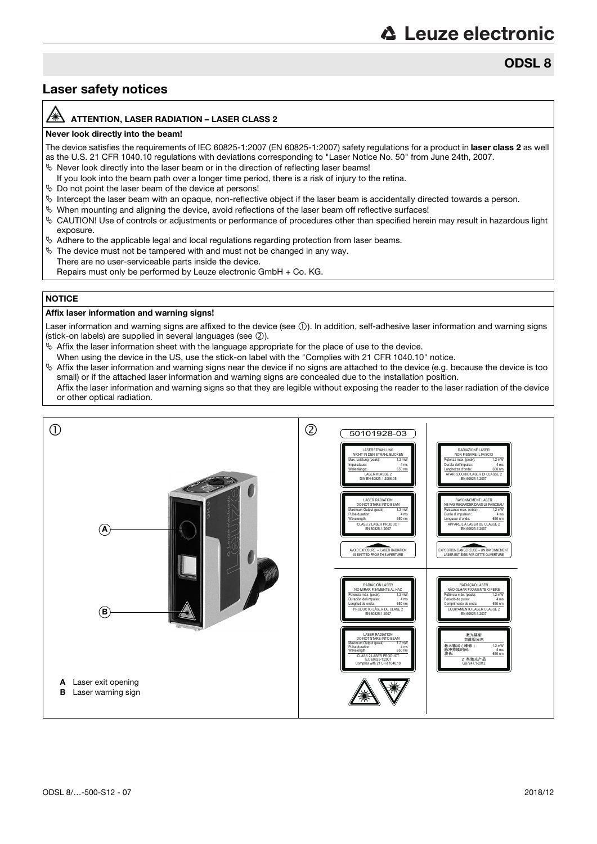ODSL 8

# Laser safety notices

#### ATTENTION, LASER RADIATION – LASER CLASS 2

#### Never look directly into the beam!

The device satisfies the requirements of IEC 60825-1:2007 (EN 60825-1:2007) safety regulations for a product in laser class 2 as well as the U.S. 21 CFR 1040.10 regulations with deviations corresponding to "Laser Notice No. 50" from June 24th, 2007.

- $\%$  Never look directly into the laser beam or in the direction of reflecting laser beams!
- If you look into the beam path over a longer time period, there is a risk of injury to the retina.
- $\%$  Do not point the laser beam of the device at persons!
- $\%$  Intercept the laser beam with an opaque, non-reflective object if the laser beam is accidentally directed towards a person.
- When mounting and aligning the device, avoid reflections of the laser beam off reflective surfaces!
- CAUTION! Use of controls or adjustments or performance of procedures other than specified herein may result in hazardous light exposure.
- $\%$  Adhere to the applicable legal and local regulations regarding protection from laser beams.
- $\%$  The device must not be tampered with and must not be changed in any way.
- There are no user-serviceable parts inside the device.
	- Repairs must only be performed by Leuze electronic GmbH + Co. KG.

## **NOTICE**

#### Affix laser information and warning signs!

Laser information and warning signs are affixed to the device (see ①). In addition, self-adhesive laser information and warning signs (stick-on labels) are supplied in several languages (see 2).

- $\&$  Affix the laser information sheet with the language appropriate for the place of use to the device.
- When using the device in the US, use the stick-on label with the "Complies with 21 CFR 1040.10" notice.
- $\%$  Affix the laser information and warning signs near the device if no signs are attached to the device (e.g. because the device is too small) or if the attached laser information and warning signs are concealed due to the installation position.
- Affix the laser information and warning signs so that they are legible without exposing the reader to the laser radiation of the device or other optical radiation.

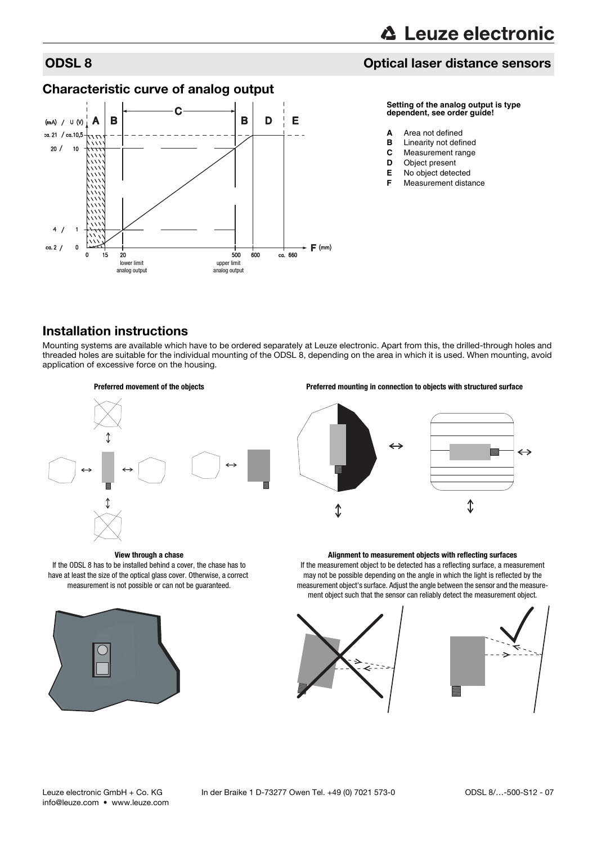# ODSL 8 Optical laser distance sensors

# Characteristic curve of analog output



#### **Setting of the analog output is type dependent, see order guide!**

- **A** Area not defined
- **B** Linearity not defined<br>**C** Measurement range
- **Measurement range**
- **D** Object present<br>**F** No object detect
- **E** No object detected
- **Measurement distance**

# Installation instructions

Mounting systems are available which have to be ordered separately at Leuze electronic. Apart from this, the drilled-through holes and threaded holes are suitable for the individual mounting of the ODSL 8, depending on the area in which it is used. When mounting, avoid application of excessive force on the housing.





#### **View through a chase**

If the ODSL 8 has to be installed behind a cover, the chase has to have at least the size of the optical glass cover. Otherwise, a correct measurement is not possible or can not be guaranteed.



#### **Alignment to measurement objects with reflecting surfaces**

If the measurement object to be detected has a reflecting surface, a measurement may not be possible depending on the angle in which the light is reflected by the measurement object's surface. Adjust the angle between the sensor and the measurement object such that the sensor can reliably detect the measurement object.





info@leuze.com • www.leuze.com